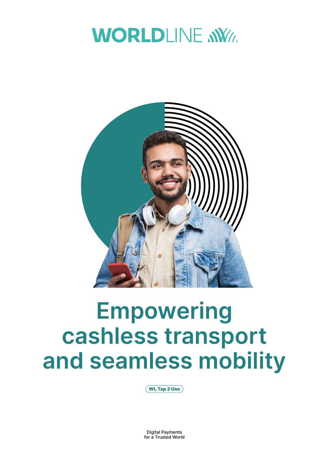



# **Empowering cashless transport and seamless mobility**

WL Tap 2 Use

Digital Payments for a Trusted World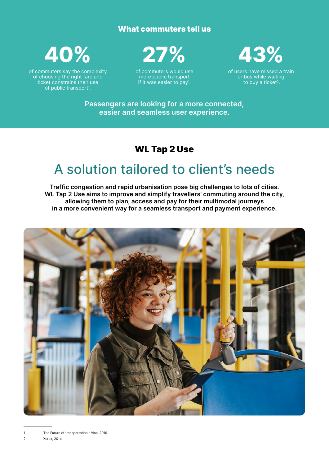### What commuters tell us



of commuters say the complexity of choosing the right fare and ticket constrains their use of public transport<sup>1</sup>.



of commuters would use more public transport if it was easier to pay<sup>1</sup>.



of users have missed a train or bus while waiting to buy a ticket<sup>2</sup>.

**Passengers are looking for a more connected, easier and seamless user experience.**

### WL Tap 2 Use

# A solution tailored to client's needs

**Traffic congestion and rapid urbanisation pose big challenges to lots of cities. WL Tap 2 Use aims to improve and simplify travellers' commuting around the city, allowing them to plan, access and pay for their multimodal journeys in a more convenient way for a seamless transport and payment experience.**

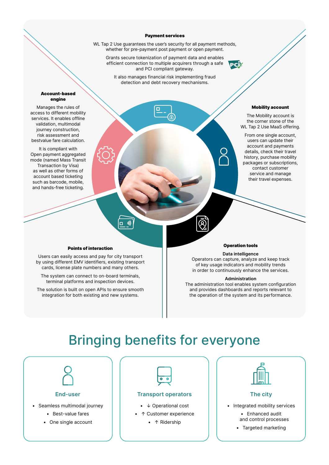#### Payment services

WL Tap 2 Use guarantees the user's security for all payment methods, whether for pre-payment post payment or open payment.

Grants secure tokenization of payment data and enables efficient connection to multiple acquirers through a safe and PCI compliant gateway.

It also manages financial risk implementing fraud detection and debt recovery mechanisms.

#### Account-based engine

Manages the rules of access to different mobility services. It enables offline validation, multimodal journey construction, risk assessment and bestvalue fare calculation.

It is compliant with Open payment aggregated mode (named Mass Transit Transaction by Visa) as well as other forms of account based ticketing such as barcode, mobile, and hands-free ticketing.

#### Mobility account

The Mobility account is the corner stone of the WL Tap 2 Use MaaS offering.

From one single account, users can update their account and payments details, check their travel history, purchase mobility packages or subscriptions, contact customer service and manage their travel expenses.

#### Points of interaction

Users can easily access and pay for city transport by using different EMV identifiers, existing transport cards, license plate numbers and many others.

The system can connect to on-board terminals, terminal platforms and inspection devices.

The solution is built on open APIs to ensure smooth integration for both existing and new systems.



**PCI** 

#### **Data intelligence**

Operators can capture, analyze and keep track of key usage indicators and mobility trends in order to continuously enhance the services.

#### **Administration**

The administration tool enables system configuration and provides dashboards and reports relevant to the operation of the system and its performance.

# Bringing benefits for everyone